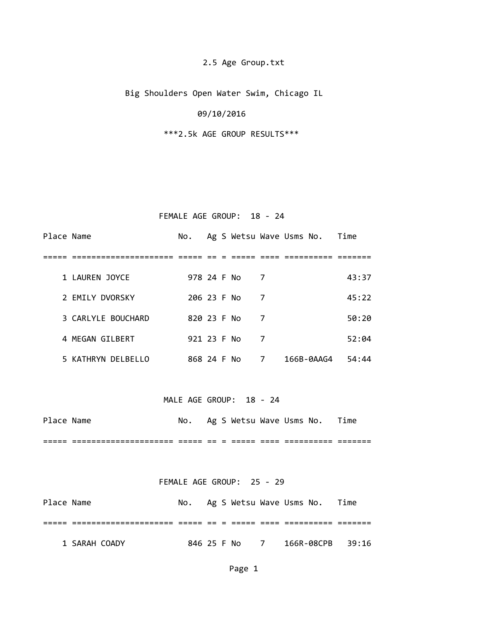# 2.5 Age Group.txt

Big Shoulders Open Water Swim, Chicago IL

### 09/10/2016

\*\*\*2.5k AGE GROUP RESULTS\*\*\*

# FEMALE AGE GROUP: 18 - 24

| Place Name |                    | No.         |  |                |   | Ag S Wetsu Wave Usms No. Time |       |
|------------|--------------------|-------------|--|----------------|---|-------------------------------|-------|
|            |                    |             |  |                |   |                               |       |
|            | 1 LAUREN JOYCE     | 978 24 F No |  | $\overline{7}$ |   |                               | 43:37 |
|            | 2 EMILY DVORSKY    | 206 23 F No |  |                | 7 |                               | 45:22 |
|            | 3 CARLYLE BOUCHARD | 820 23 F No |  |                | 7 |                               | 50:20 |
|            | 4 MEGAN GILBERT    | 921 23 F No |  |                | 7 |                               | 52:04 |
|            | 5 KATHRYN DELBELLO | 868 24 F No |  |                | 7 | 166B-0AAG4                    | 54:44 |

#### MALE AGE GROUP: 18 - 24

| Place Name |                   | No. |  |  | Ag S Wetsu Wave Usms No. | Time |
|------------|-------------------|-----|--|--|--------------------------|------|
|            | ----------------- |     |  |  | ______                   |      |

### FEMALE AGE GROUP: 25 - 29

| Place Name |               |  |               | No. Ag S Wetsu Wave Usms No. | Time |
|------------|---------------|--|---------------|------------------------------|------|
|            |               |  |               |                              |      |
|            | 1 SARAH COADY |  | 846 25 F No 7 | 166R-08CPB 39:16             |      |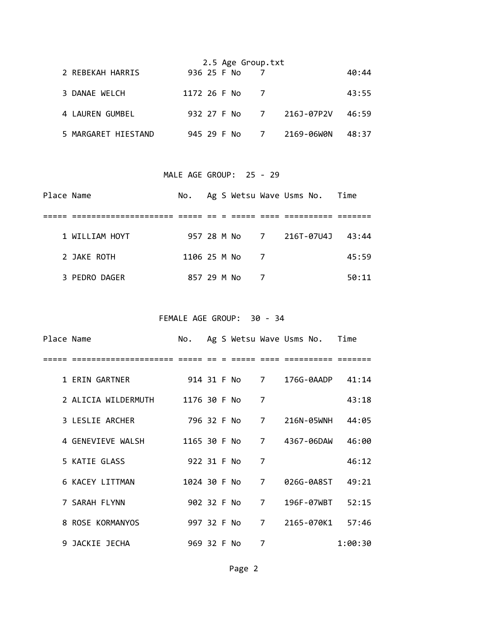|                     |              | 2.5 Age Group.txt |   |                          |       |
|---------------------|--------------|-------------------|---|--------------------------|-------|
| 2 REBEKAH HARRIS    | 936 25 F No  |                   |   |                          | 40:44 |
| 3 DANAE WELCH       | 1172 26 F No |                   |   |                          | 43:55 |
| 4 LAUREN GUMBEL     |              |                   |   | 932 27 F No 7 216J-07P2V | 46:59 |
| 5 MARGARET HIESTAND | 945 29 F No  |                   | 7 | 2169-06WON               | 48:37 |

# MALE AGE GROUP: 25 - 29

| Place Name |                |              |  | No. Ag S Wetsu Wave Usms No. Time |  |                                |  |
|------------|----------------|--------------|--|-----------------------------------|--|--------------------------------|--|
|            |                |              |  |                                   |  |                                |  |
|            | 1 WILLIAM HOYT |              |  |                                   |  | 957 28 M No 7 216T-07U4J 43:44 |  |
|            | 2 JAKE ROTH    | 1106 25 M No |  | $\overline{7}$                    |  | 45:59                          |  |
|            | 3 PEDRO DAGER  | 857 29 M No  |  |                                   |  | 50:11                          |  |

FEMALE AGE GROUP: 30 ‐ 34

| Place Name |                     |              |  |               |   | No. Ag S Wetsu Wave Usms No. Time |         |
|------------|---------------------|--------------|--|---------------|---|-----------------------------------|---------|
|            |                     |              |  |               |   |                                   |         |
|            | 1 ERIN GARTNER      |              |  | 914 31 F No 7 |   | 176G-0AADP 41:14                  |         |
|            | 2 ALICIA WILDERMUTH | 1176 30 F No |  |               | 7 |                                   | 43:18   |
|            | 3 LESLIE ARCHER     |              |  | 796 32 F No 7 |   | 216N-05WNH 44:05                  |         |
|            | 4 GENEVIEVE WALSH   |              |  |               |   | 1165 30 F No 7 4367-06DAW         | - 46:00 |
|            | 5 KATIE GLASS       | 922 31 F No  |  |               | 7 |                                   | 46:12   |
|            | 6 KACEY LITTMAN     |              |  | 1024 30 F No  | 7 | 026G-0A8ST 49:21                  |         |
|            | 7 SARAH FLYNN       |              |  | 902 32 F No 7 |   | 196F-07WBT                        | 52:15   |
|            | 8 ROSE KORMANYOS    |              |  | 997 32 F No   | 7 | 2165-070K1 57:46                  |         |
|            | 9 JACKIE JECHA      | 969 32 F No  |  |               | 7 |                                   | 1:00:30 |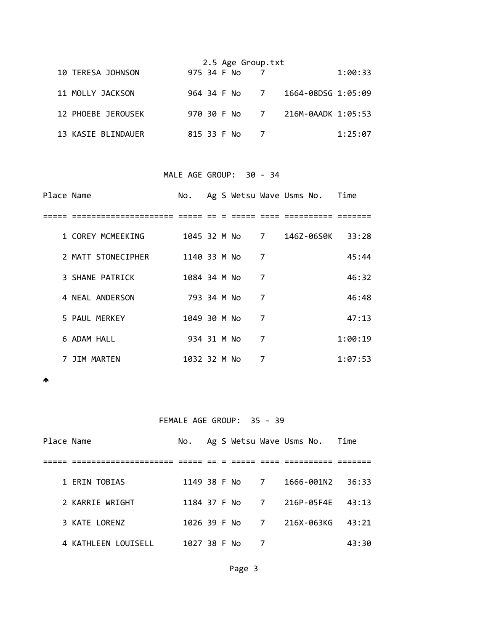|                    |             |  | 2.5 Age Group.txt |                                  |         |
|--------------------|-------------|--|-------------------|----------------------------------|---------|
| 10 TERESA JOHNSON  | 975 34 F No |  |                   |                                  | 1:00:33 |
| 11 MOLLY JACKSON   |             |  |                   | 964 34 F No 7 1664-08DSG 1:05:09 |         |
| 12 PHOEBE JEROUSEK |             |  |                   | 970 30 F No 7 216M-0AADK 1:05:53 |         |
| 13 KASIE BLINDAUER | 815 33 F No |  |                   |                                  | 1:25:07 |

### MALE AGE GROUP: 30 ‐ 34

| Place Name |                    | No.          |  |   | Ag S Wetsu Wave Usms No. Time |                                 |
|------------|--------------------|--------------|--|---|-------------------------------|---------------------------------|
|            |                    |              |  |   |                               |                                 |
|            | 1 COREY MCMEEKING  |              |  |   |                               | 1045 32 M No 7 146Z-06S0K 33:28 |
|            | 2 MATT STONECIPHER | 1140 33 M No |  | 7 |                               | 45:44                           |
|            | 3 SHANE PATRICK    | 1084 34 M No |  | 7 |                               | 46:32                           |
|            | 4 NEAL ANDERSON    | 793 34 M No  |  | 7 |                               | 46:48                           |
|            | 5 PAUL MERKEY      | 1049 30 M No |  | 7 |                               | 47:13                           |
|            | 6 ADAM HALL        | 934 31 M No  |  | 7 |                               | 1:00:19                         |
|            | 7 JIM MARTEN       | 1032 32 M No |  | 7 |                               | 1:07:53                         |

 $\spadesuit$ 

# FEMALE AGE GROUP: 35 ‐ 39

| Place Name |                     |              |  |                |   | No. Ag S Wetsu Wave Usms No. Time |       |
|------------|---------------------|--------------|--|----------------|---|-----------------------------------|-------|
|            |                     |              |  |                |   |                                   |       |
|            | 1 FRIN TOBIAS       |              |  | 1149 38 F No 7 |   | 1666-001N2                        | 36:33 |
|            | 2 KARRIE WRIGHT     |              |  |                |   | 1184 37 F No 7 216P-05F4E         | 43:13 |
|            | 3 KATE LORENZ       |              |  |                |   | 1026 39 F No 7 216X-063KG         | 43:21 |
|            | 4 KATHLEEN LOUISELL | 1027 38 F No |  |                | 7 |                                   | 43:30 |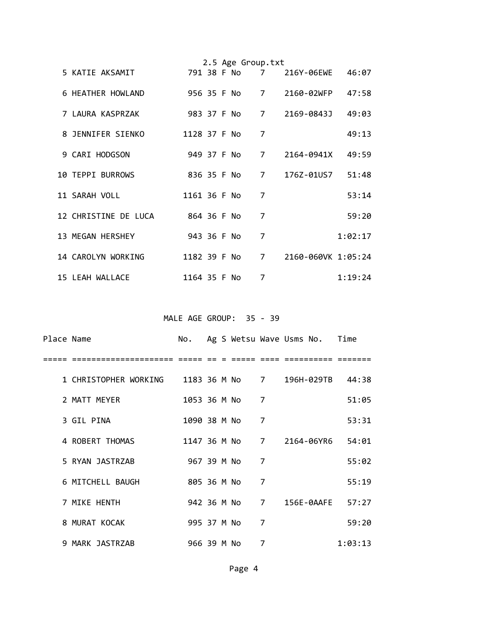|                         |              |  | 2.5 Age Group.txt |                |                    |         |
|-------------------------|--------------|--|-------------------|----------------|--------------------|---------|
| 5 KATIE AKSAMIT         | 791 38 F No  |  |                   |                | 7 216Y-06EWE 46:07 |         |
| 6 HEATHER HOWLAND       |              |  | 956 35 F No       |                | 7 2160-02WFP       | 47:58   |
| 7 LAURA KASPRZAK        | 983 37 F No  |  |                   | $\overline{7}$ | 2169-0843J         | 49:03   |
| 8 JENNIFER SIENKO       | 1128 37 F No |  |                   | 7              |                    | 49:13   |
| 9 CARI HODGSON          | 949 37 F No  |  |                   | $\overline{7}$ | 2164-0941X         | 49:59   |
| <b>10 TEPPI BURROWS</b> |              |  | 836 35 F No       |                |                    | 51:48   |
| 11 SARAH VOLL           | 1161 36 F No |  |                   | 7              |                    | 53:14   |
| 12 CHRISTINE DE LUCA    | 864 36 F No  |  |                   | $\overline{7}$ |                    | 59:20   |
| 13 MEGAN HERSHEY        | 943 36 F No  |  |                   | $\overline{7}$ |                    | 1:02:17 |
| 14 CAROLYN WORKING      | 1182 39 F No |  |                   | $\overline{7}$ | 2160-060VK 1:05:24 |         |
| 15 LEAH WALLACE         | 1164 35 F No |  |                   | 7              |                    | 1:19:24 |

MALE AGE GROUP: 35 - 39

| Place Name |                       |              |  |             |   | No. Ag S Wetsu Wave Usms No. Time |         |
|------------|-----------------------|--------------|--|-------------|---|-----------------------------------|---------|
|            |                       |              |  |             |   |                                   |         |
|            | 1 CHRISTOPHER WORKING |              |  |             |   | 1183 36 M No 7 196H-029TB 44:38   |         |
|            | 2 MATT MEYER          | 1053 36 M No |  |             | 7 |                                   | 51:05   |
|            | 3 GIL PINA            | 1090 38 M No |  |             | 7 |                                   | 53:31   |
|            | 4 ROBERT THOMAS       |              |  |             |   | 1147 36 M No 7 2164-06YR6         | 54:01   |
|            | 5 RYAN JASTRZAB       | 967 39 M No  |  |             | 7 |                                   | 55:02   |
|            | 6 MITCHELL BAUGH      | 805 36 M No  |  |             | 7 |                                   | 55:19   |
|            | 7 MIKE HENTH          |              |  | 942 36 M No |   | 7 156E-0AAFE 57:27                |         |
|            | 8 MURAT KOCAK         | 995 37 M No  |  |             | 7 |                                   | 59:20   |
|            | 9 MARK JASTRZAB       | 966 39 M No  |  |             | 7 |                                   | 1:03:13 |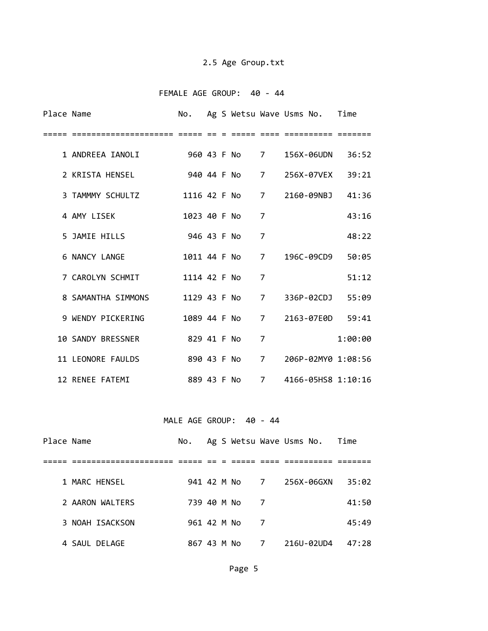# 2.5 Age Group.txt

### FEMALE AGE GROUP: 40 ‐ 44

| Place Name |                                                  |                         |  |              |                | No. Ag S Wetsu Wave Usms No. Time |         |
|------------|--------------------------------------------------|-------------------------|--|--------------|----------------|-----------------------------------|---------|
|            |                                                  |                         |  |              |                |                                   |         |
|            | 1 ANDREEA IANOLI 960 43 F No 7                   |                         |  |              |                | 156X-06UDN 36:52                  |         |
|            | 2 KRISTA HENSEL                                  |                         |  | 940 44 F No  | 7              | 256X-07VEX 39:21                  |         |
|            | 3 TAMMMY SCHULTZ 1116 42 F No 7 2160-09NBJ 41:36 |                         |  |              |                |                                   |         |
|            | 4 AMY LISEK                                      |                         |  | 1023 40 F No | 7              |                                   | 43:16   |
|            | 5 JAMIE HILLS                                    | 946 43 F No             |  |              | $\overline{7}$ |                                   | 48:22   |
|            | 6 NANCY LANGE                                    |                         |  | 1011 44 F No | $\overline{7}$ | 196C-09CD9                        | 50:05   |
|            | 7 CAROLYN SCHMIT                                 |                         |  | 1114 42 F No | $\overline{7}$ |                                   | 51:12   |
|            | 8 SAMANTHA SIMMONS 1129 43 F No                  |                         |  |              | 7              | 336P-02CDJ 55:09                  |         |
|            | 9 WENDY PICKERING                                |                         |  | 1089 44 F No |                | 7 2163-07E0D 59:41                |         |
|            | 10 SANDY BRESSNER 829 41 F No                    |                         |  |              | $\overline{7}$ |                                   | 1:00:00 |
|            | 11 LEONORE FAULDS                                |                         |  |              |                | 890 43 F No 7 206P-02MY0 1:08:56  |         |
|            | 12 RENEE FATEMI                                  | 889 43 F No 7           |  |              |                | 4166-05HS8 1:10:16                |         |
|            |                                                  |                         |  |              |                |                                   |         |
|            |                                                  | MALE AGE GROUP: 40 - 44 |  |              |                |                                   |         |

| Place Name |                 | No.         |  |                | Ag S Wetsu Wave Usms No. Time |       |  |
|------------|-----------------|-------------|--|----------------|-------------------------------|-------|--|
|            |                 |             |  |                |                               |       |  |
|            | 1 MARC HENSEL   |             |  | 941 42 M No 7  | 256X-06GXN                    | 35:02 |  |
|            | 2 AARON WALTERS | 739 40 M No |  | $\overline{7}$ |                               | 41:50 |  |
|            | 3 NOAH ISACKSON | 961 42 M No |  | $\overline{7}$ |                               | 45:49 |  |
|            | 4 SAUL DELAGE   |             |  | 867 43 M No 7  | 216U-02UD4                    | 47:28 |  |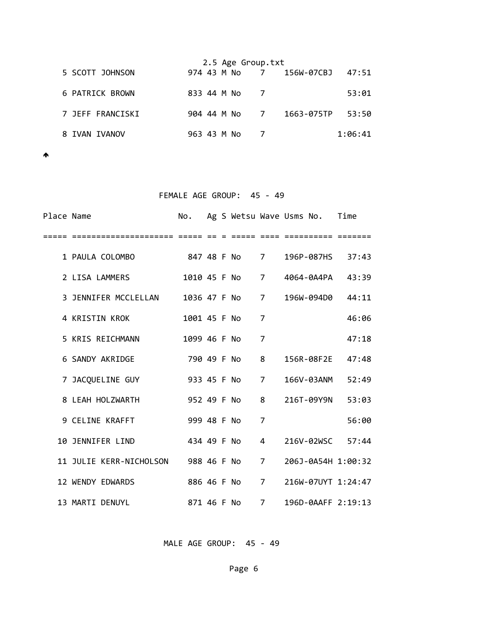|                  | 2.5 Age Group.txt |               |  |                                |         |  |  |  |  |  |
|------------------|-------------------|---------------|--|--------------------------------|---------|--|--|--|--|--|
| 5 SCOTT JOHNSON  |                   |               |  | 974 43 M No 7 156W-07CBJ 47:51 |         |  |  |  |  |  |
| 6 PATRICK BROWN  | 833 44 M No       |               |  |                                | 53:01   |  |  |  |  |  |
| 7 JEFF FRANCISKI |                   | 904 44 M No 7 |  | 1663-075TP                     | 53:50   |  |  |  |  |  |
| 8 IVAN IVANOV    | 963 43 M No       |               |  |                                | 1:06:41 |  |  |  |  |  |

 $\blacktriangle$ 

| FEMALE AGE GROUP: 45 - 49 |                                       |               |  |  |               |                |                                   |       |  |  |  |
|---------------------------|---------------------------------------|---------------|--|--|---------------|----------------|-----------------------------------|-------|--|--|--|
| Place Name                |                                       |               |  |  |               |                | No. Ag S Wetsu Wave Usms No. Time |       |  |  |  |
|                           |                                       |               |  |  |               |                |                                   |       |  |  |  |
|                           | 1 PAULA COLOMBO                       | 847 48 F No 7 |  |  |               |                | 196P-087HS 37:43                  |       |  |  |  |
|                           | 2 LISA LAMMERS                        |               |  |  |               |                | 1010 45 F No 7 4064-0A4PA 43:39   |       |  |  |  |
|                           | 3 JENNIFER MCCLELLAN                  |               |  |  |               |                | 1036 47 F No 7 196W-094D0 44:11   |       |  |  |  |
|                           | 4 KRISTIN KROK                        | 1001 45 F No  |  |  |               | 7              |                                   | 46:06 |  |  |  |
|                           | 5 KRIS REICHMANN                      | 1099 46 F No  |  |  |               | $\overline{7}$ |                                   | 47:18 |  |  |  |
|                           | 6 SANDY AKRIDGE                       |               |  |  | 790 49 F No   | 8              | 156R-08F2E 47:48                  |       |  |  |  |
|                           | 7 JACQUELINE GUY 933 45 F No 7        |               |  |  |               |                | 166V-03ANM                        | 52:49 |  |  |  |
|                           | 8 LEAH HOLZWARTH 952 49 F No          |               |  |  |               | 8              | 216T-09Y9N 53:03                  |       |  |  |  |
|                           | 9 CELINE KRAFFT                       | 999 48 F No   |  |  |               | $\overline{7}$ |                                   | 56:00 |  |  |  |
|                           | 10 JENNIFER LIND                      | 434 49 F No   |  |  |               | $\overline{4}$ | 216V-02WSC 57:44                  |       |  |  |  |
|                           | 11 JULIE KERR-NICHOLSON 988 46 F No 7 |               |  |  |               |                | 206J-0A54H 1:00:32                |       |  |  |  |
|                           | 12 WENDY EDWARDS                      |               |  |  | 886 46 F No 7 |                | 216W-07UYT 1:24:47                |       |  |  |  |
|                           | 13 MARTI DENUYL                       |               |  |  | 871 46 F No 7 |                | 196D-0AAFF 2:19:13                |       |  |  |  |

MALE AGE GROUP: 45 - 49

Page 6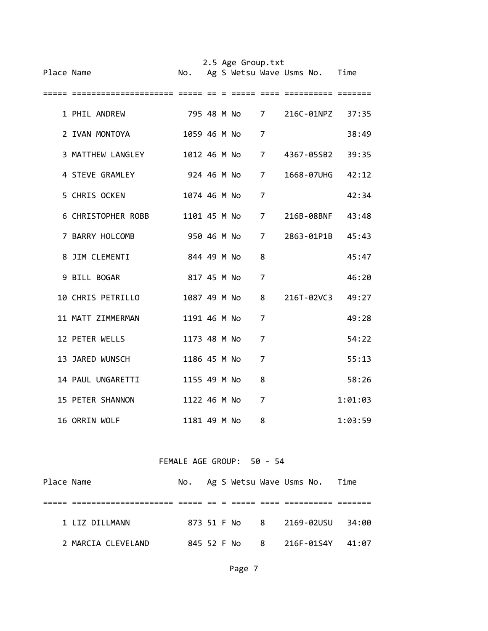| Place Name |                    |              |  | 2.5 Age Group.txt |                | No. Ag S Wetsu Wave Usms No. Time |         |
|------------|--------------------|--------------|--|-------------------|----------------|-----------------------------------|---------|
|            |                    |              |  |                   |                |                                   |         |
|            | 1 PHIL ANDREW      |              |  | 795 48 M No 7     |                | 216C-01NPZ                        | 37:35   |
|            | 2 IVAN MONTOYA     | 1059 46 M No |  |                   | 7              |                                   | 38:49   |
|            | 3 MATTHEW LANGLEY  |              |  | 1012 46 M No      | $\overline{7}$ | 4367-05SB2                        | 39:35   |
|            | 4 STEVE GRAMLEY    |              |  | 924 46 M No       | 7              | 1668-07UHG                        | 42:12   |
|            | 5 CHRIS OCKEN      | 1074 46 M No |  |                   | $\overline{7}$ |                                   | 42:34   |
|            | 6 CHRISTOPHER ROBB |              |  | 1101 45 M No      | $\overline{7}$ | 216B-08BNF                        | 43:48   |
|            | 7 BARRY HOLCOMB    |              |  | 950 46 M No       | $\overline{7}$ | 2863-01P1B 45:43                  |         |
|            | 8 JIM CLEMENTI     | 844 49 M No  |  |                   | 8              |                                   | 45:47   |
|            | 9 BILL BOGAR       | 817 45 M No  |  |                   | 7              |                                   | 46:20   |
|            | 10 CHRIS PETRILLO  |              |  | 1087 49 M No      | 8              | 216T-02VC3                        | 49:27   |
|            | 11 MATT ZIMMERMAN  | 1191 46 M No |  |                   | 7              |                                   | 49:28   |
|            | 12 PETER WELLS     | 1173 48 M No |  |                   | 7              |                                   | 54:22   |
|            | 13 JARED WUNSCH    | 1186 45 M No |  |                   | 7              |                                   | 55:13   |
|            | 14 PAUL UNGARETTI  | 1155 49 M No |  |                   | 8              |                                   | 58:26   |
|            | 15 PETER SHANNON   | 1122 46 M No |  |                   | 7              |                                   | 1:01:03 |
|            | 16 ORRIN WOLF      | 1181 49 M No |  |                   | 8              |                                   | 1:03:59 |

### FEMALE AGE GROUP: 50 ‐ 54

| Place Name |                    |  |  | No. Ag S Wetsu Wave Usms No. Time |       |
|------------|--------------------|--|--|-----------------------------------|-------|
|            |                    |  |  |                                   |       |
|            | 1 ITZ DILIMANN     |  |  | 873 51 F No 8 2169-02USU          | 34:00 |
|            | 2 MARCIA CLEVELAND |  |  | 845 52 F No 8 216F-01S4Y 41:07    |       |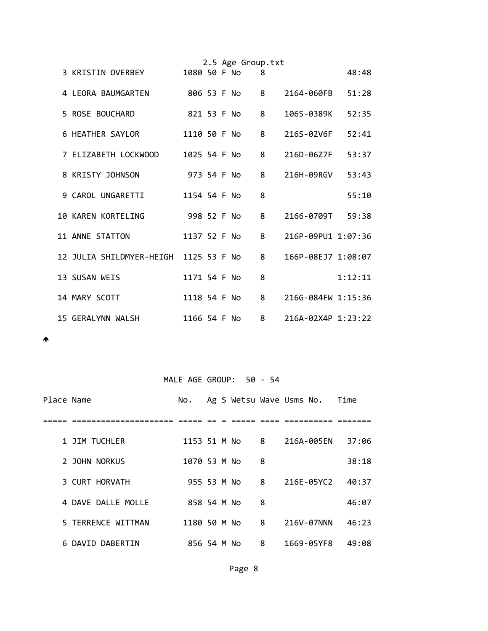|                                       |              |  | 2.5 Age Group.txt |   |                    |         |
|---------------------------------------|--------------|--|-------------------|---|--------------------|---------|
| 3 KRISTIN OVERBEY                     | 1080 50 F No |  |                   | 8 |                    | 48:48   |
| 4 LEORA BAUMGARTEN                    | 806 53 F No  |  |                   | 8 | 2164-060FB         | 51:28   |
| 5 ROSE BOUCHARD                       |              |  | 821 53 F No       | 8 | 106S-0389K         | 52:35   |
| 6 HEATHER SAYLOR                      | 1110 50 F No |  |                   | 8 | 216S-02V6F         | 52:41   |
| 7 ELIZABETH LOCKWOOD                  | 1025 54 F No |  |                   | 8 | 216D-06Z7F         | 53:37   |
| 8 KRISTY JOHNSON                      | 973 54 F No  |  |                   | 8 | 216H-09RGV         | 53:43   |
| 9 CAROL UNGARETTI                     | 1154 54 F No |  |                   | 8 |                    | 55:10   |
| 10 KAREN KORTELING                    | 998 52 F No  |  |                   | 8 | 2166-0709T 59:38   |         |
| 11 ANNE STATTON                       | 1137 52 F No |  |                   | 8 | 216P-09PU1 1:07:36 |         |
| 12 JULIA SHILDMYER-HEIGH 1125 53 F No |              |  |                   | 8 | 166P-08EJ7 1:08:07 |         |
| 13 SUSAN WEIS                         | 1171 54 F No |  |                   | 8 |                    | 1:12:11 |
| 14 MARY SCOTT                         | 1118 54 F No |  |                   | 8 | 216G-084FW 1:15:36 |         |
| 15 GERALYNN WALSH                     | 1166 54 F No |  |                   | 8 | 216A-02X4P 1:23:22 |         |

 $\blacktriangle$ 

# MALE AGE GROUP: 50 - 54

| Place Name |                    | No.          |  |   | Ag S Wetsu Wave Usms No. | <b>Time</b> |
|------------|--------------------|--------------|--|---|--------------------------|-------------|
|            |                    |              |  |   |                          |             |
|            | 1 JIM TUCHLER      | 1153 51 M No |  | 8 | 216A-005EN               | 37:06       |
|            | 2 JOHN NORKUS      | 1070 53 M No |  | 8 |                          | 38:18       |
|            | 3 CURT HORVATH     | 955 53 M No  |  | 8 | 216E-05YC2               | 40:37       |
|            | 4 DAVE DALLE MOLLE | 858 54 M No  |  | 8 |                          | 46:07       |
|            | 5 TERRENCE WITTMAN | 1180 50 M No |  | 8 | 216V-07NNN               | 46:23       |
|            | 6 DAVID DABERTIN   | 856 54 M No  |  | 8 | 1669-05YF8               | 49:08       |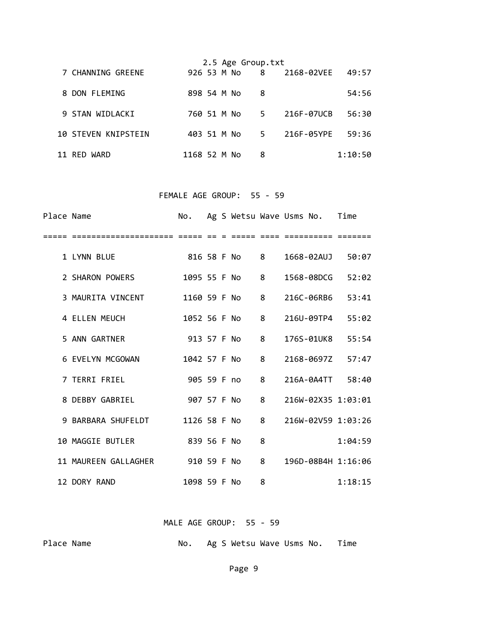|                            |              |  | 2.5 Age Group.txt |       |              |         |
|----------------------------|--------------|--|-------------------|-------|--------------|---------|
| 7 CHANNING GREENE          | 926 53 M No  |  |                   |       | 8 2168-02VEE | 49:57   |
| 8 DON FLEMING              | 898 54 M No  |  |                   | 8     |              | 54:56   |
| 9 STAN WIDLACKI            | 760 51 M No  |  |                   | $5 -$ | 216F-07UCB   | 56:30   |
| <b>10 STEVEN KNIPSTEIN</b> | 403 51 M No  |  |                   | $5 -$ | 216F-05YPE   | 59:36   |
| 11 RED WARD                | 1168 52 M No |  |                   | 8     |              | 1:10:50 |

# FEMALE AGE GROUP: 55 - 59

| Place Name |                                  |              |  |              |   | No. Ag S Wetsu Wave Usms No. Time |         |
|------------|----------------------------------|--------------|--|--------------|---|-----------------------------------|---------|
|            | ==================               |              |  |              |   | ==== ==========                   |         |
|            | 1 LYNN BLUE                      | 816 58 F No  |  |              | 8 | 1668-02AUJ                        | 50:07   |
|            | 2 SHARON POWERS                  |              |  | 1095 55 F No | 8 | 1568-08DCG                        | 52:02   |
|            | 3 MAURITA VINCENT                |              |  | 1160 59 F No | 8 | 216C-06RB6                        | 53:41   |
|            | 4 ELLEN MEUCH                    |              |  | 1052 56 F No | 8 | 216U-09TP4 55:02                  |         |
|            | 5 ANN GARTNER                    | 913 57 F No  |  |              | 8 | 176S-01UK8                        | 55:54   |
|            | 6 EVELYN MCGOWAN                 | 1042 57 F No |  |              | 8 | 2168-0697Z 57:47                  |         |
|            | 7 TERRI FRIEL                    | 905 59 F no  |  |              | 8 | 216A-0A4TT 58:40                  |         |
|            | 8 DEBBY GABRIEL                  | 907 57 F No  |  |              | 8 | 216W-02X35 1:03:01                |         |
|            | 9 BARBARA SHUFELDT               | 1126 58 F No |  |              | 8 | 216W-02V59 1:03:26                |         |
|            | 10 MAGGIE BUTLER                 | 839 56 F No  |  |              | 8 |                                   | 1:04:59 |
|            | 11 MAUREEN GALLAGHER 910 59 F No |              |  |              | 8 | 196D-08B4H 1:16:06                |         |
|            | 12 DORY RAND                     | 1098 59 F No |  |              | 8 |                                   | 1:18:15 |

### MALE AGE GROUP: 55 - 59

Place Name **Blace Name No.** Ag S Wetsu Wave Usms No. Time

Page 9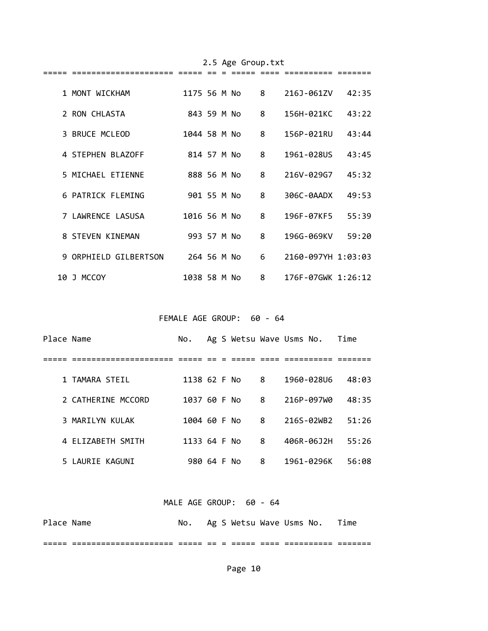|    | 1 MONT WICKHAM        | 1175 56 M No |  | 8 | 216J-061ZV         | 42:35 |
|----|-----------------------|--------------|--|---|--------------------|-------|
|    | 2 RON CHLASTA         | 843 59 M No  |  | 8 | 156H-021KC         | 43:22 |
|    | 3 BRUCE MCLEOD        | 1044 58 M No |  | 8 | 156P-021RU         | 43:44 |
|    | 4 STEPHEN BLAZOFF     | 814 57 M No  |  | 8 | 1961-028US         | 43:45 |
|    | 5 MICHAEL ETIENNE     | 888 56 M No  |  | 8 | 216V-029G7         | 45:32 |
|    | 6 PATRICK FLEMING     | 901 55 M No  |  | 8 | 306C-0AADX         | 49:53 |
|    | 7 LAWRENCE LASUSA     | 1016 56 M No |  | 8 | 196F-07KF5         | 55:39 |
|    | 8 STEVEN KINEMAN      | 993 57 M No  |  | 8 | 196G-069KV         | 59:20 |
|    | 9 ORPHIELD GILBERTSON | 264 56 M No  |  | 6 | 2160-097YH 1:03:03 |       |
| 10 | J MCCOY               | 1038 58 M No |  | 8 | 176F-07GWK 1:26:12 |       |

2.5 Age Group.txt

FEMALE AGE GROUP: 60 - 64

| Place Name |                    | No.          |  |   | Ag S Wetsu Wave Usms No. Time |       |
|------------|--------------------|--------------|--|---|-------------------------------|-------|
|            |                    |              |  |   |                               |       |
|            | 1 TAMARA STEIL     | 1138 62 F No |  | 8 | 1960-028U6                    | 48:03 |
|            | 2 CATHERINE MCCORD | 1037 60 F No |  | 8 | 216P-097W0                    | 48:35 |
|            | 3 MARILYN KULAK    | 1004 60 F No |  | 8 | 216S-02WB2                    | 51:26 |
|            | 4 ELIZABETH SMITH  | 1133 64 F No |  | 8 | 406R-06J2H                    | 55:26 |
|            | 5 LAURIE KAGUNI    | 980 64 F No  |  | 8 | 1961-0296K                    | 56:08 |

# MALE AGE GROUP: 60 - 64

| Place Name |                                            | No. |  |      | Ag S Wetsu Wave Usms No. Time |  |
|------------|--------------------------------------------|-----|--|------|-------------------------------|--|
|            | -----------------<br>_____________________ |     |  | ____ |                               |  |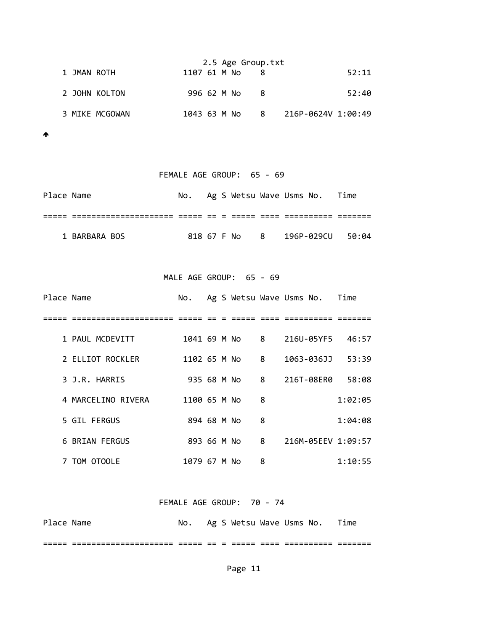|                | 2.5 Age Group.txt |              |  |  |     |  |                      |       |
|----------------|-------------------|--------------|--|--|-----|--|----------------------|-------|
| 1 JMAN ROTH    |                   | 1107 61 M No |  |  |     |  |                      | 52:11 |
| 2 JOHN KOLTON  |                   | 996 62 M No  |  |  | - 8 |  |                      | 52:40 |
| 3 MIKE MCGOWAN |                   | 1043 63 M No |  |  |     |  | 8 216P-0624V 1:00:49 |       |

 $\blacktriangle$ 

| FEMALE AGE GROUP: 65 - 69 |               |  |  |  |  |  |                                   |  |  |
|---------------------------|---------------|--|--|--|--|--|-----------------------------------|--|--|
| Place Name                |               |  |  |  |  |  | No. Ag S Wetsu Wave Usms No. Time |  |  |
|                           |               |  |  |  |  |  |                                   |  |  |
|                           | 1 BARBARA BOS |  |  |  |  |  | 818 67 F No 8 196P-029CU 50:04    |  |  |

MALE AGE GROUP: 65 - 69

| Place Name |                    | No.          |  |                            |   | Ag S Wetsu Wave Usms No. Time |         |
|------------|--------------------|--------------|--|----------------------------|---|-------------------------------|---------|
|            |                    |              |  |                            |   |                               |         |
|            | 1 PAUL MCDEVITT    | 1041 69 M No |  | $\overline{\phantom{0}}$ 8 |   | 216U-05YF5 46:57              |         |
|            | 2 ELLIOT ROCKLER   | 1102 65 M No |  |                            | 8 | 1063-036JJ                    | 53:39   |
|            | 3 J.R. HARRIS      | 935 68 M No  |  |                            | 8 | 216T-08ER0                    | 58:08   |
|            | 4 MARCELINO RIVERA | 1100 65 M No |  |                            | 8 |                               | 1:02:05 |
|            | 5 GIL FERGUS       | 894 68 M No  |  |                            | 8 |                               | 1:04:08 |
|            | 6 BRIAN FERGUS     | 893 66 M No  |  |                            | 8 | 216M-05EEV 1:09:57            |         |
|            | 7 TOM OTOOLE       | 1079 67 M No |  |                            | 8 |                               | 1:10:55 |

FEMALE AGE GROUP: 70 ‐ 74

| Place Name |                                            | No. |  | Ag S Wetsu Wave Usms No. |              |                 | Time |
|------------|--------------------------------------------|-----|--|--------------------------|--------------|-----------------|------|
| _____      | -----------------<br>_____________________ |     |  |                          | ____<br>____ | _ _ _ _ _ _ _ _ |      |